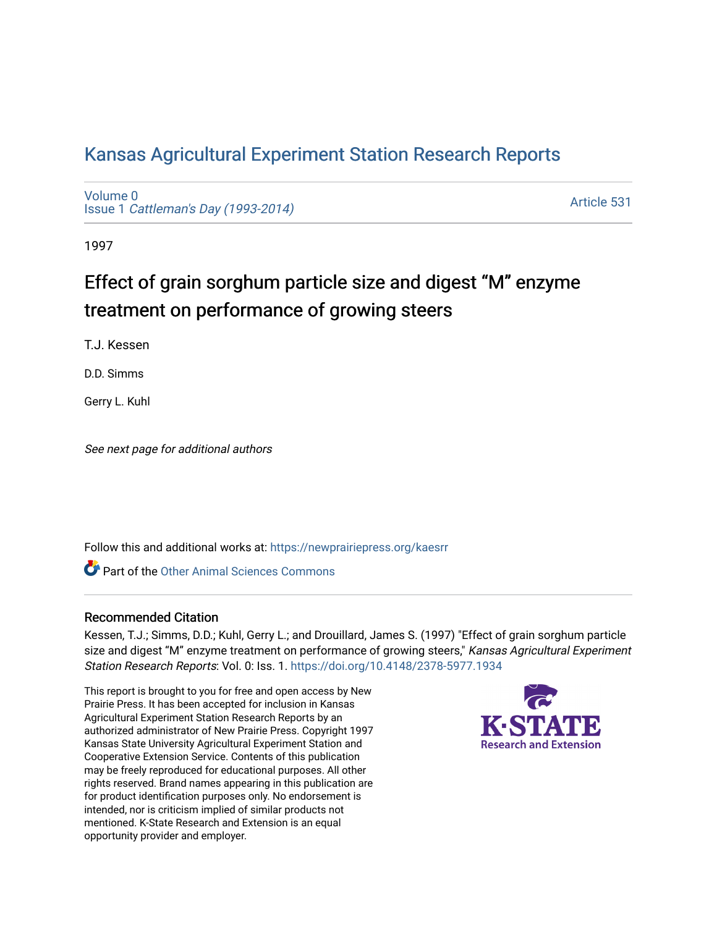# [Kansas Agricultural Experiment Station Research Reports](https://newprairiepress.org/kaesrr)

[Volume 0](https://newprairiepress.org/kaesrr/vol0) Issue 1 [Cattleman's Day \(1993-2014\)](https://newprairiepress.org/kaesrr/vol0/iss1) 

[Article 531](https://newprairiepress.org/kaesrr/vol0/iss1/531) 

1997

# Effect of grain sorghum particle size and digest "M" enzyme treatment on performance of growing steers

T.J. Kessen

D.D. Simms

Gerry L. Kuhl

See next page for additional authors

Follow this and additional works at: [https://newprairiepress.org/kaesrr](https://newprairiepress.org/kaesrr?utm_source=newprairiepress.org%2Fkaesrr%2Fvol0%2Fiss1%2F531&utm_medium=PDF&utm_campaign=PDFCoverPages) 

**C** Part of the [Other Animal Sciences Commons](http://network.bepress.com/hgg/discipline/82?utm_source=newprairiepress.org%2Fkaesrr%2Fvol0%2Fiss1%2F531&utm_medium=PDF&utm_campaign=PDFCoverPages)

### Recommended Citation

Kessen, T.J.; Simms, D.D.; Kuhl, Gerry L.; and Drouillard, James S. (1997) "Effect of grain sorghum particle size and digest "M" enzyme treatment on performance of growing steers," Kansas Agricultural Experiment Station Research Reports: Vol. 0: Iss. 1.<https://doi.org/10.4148/2378-5977.1934>

This report is brought to you for free and open access by New Prairie Press. It has been accepted for inclusion in Kansas Agricultural Experiment Station Research Reports by an authorized administrator of New Prairie Press. Copyright 1997 Kansas State University Agricultural Experiment Station and Cooperative Extension Service. Contents of this publication may be freely reproduced for educational purposes. All other rights reserved. Brand names appearing in this publication are for product identification purposes only. No endorsement is intended, nor is criticism implied of similar products not mentioned. K-State Research and Extension is an equal opportunity provider and employer.

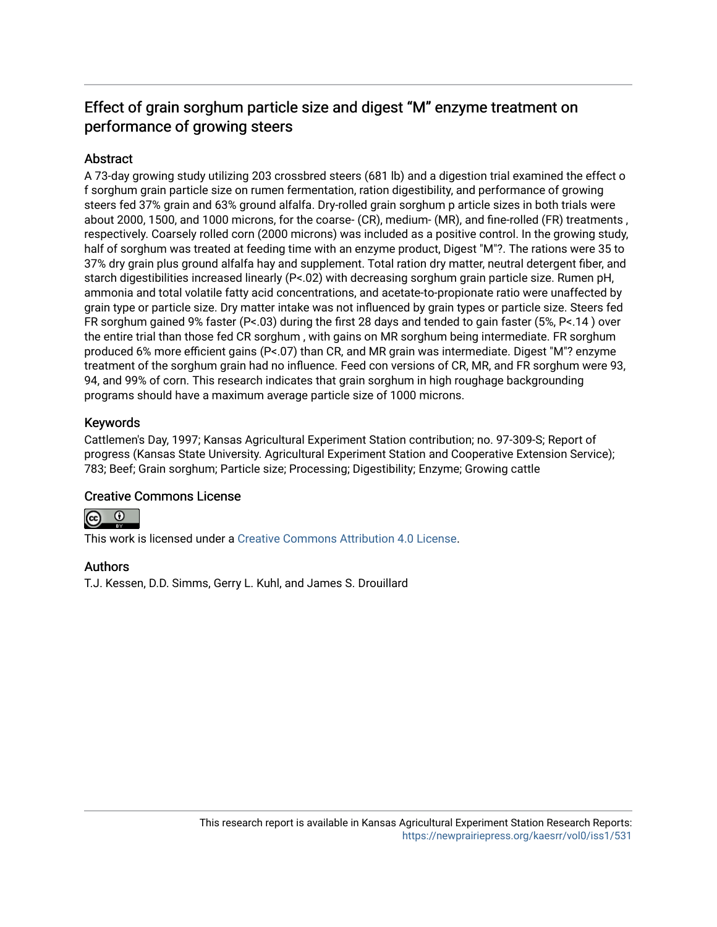## Effect of grain sorghum particle size and digest "M" enzyme treatment on performance of growing steers

## **Abstract**

A 73-day growing study utilizing 203 crossbred steers (681 lb) and a digestion trial examined the effect o f sorghum grain particle size on rumen fermentation, ration digestibility, and performance of growing steers fed 37% grain and 63% ground alfalfa. Dry-rolled grain sorghum p article sizes in both trials were about 2000, 1500, and 1000 microns, for the coarse- (CR), medium- (MR), and fine-rolled (FR) treatments , respectively. Coarsely rolled corn (2000 microns) was included as a positive control. In the growing study, half of sorghum was treated at feeding time with an enzyme product, Digest "M"?. The rations were 35 to 37% dry grain plus ground alfalfa hay and supplement. Total ration dry matter, neutral detergent fiber, and starch digestibilities increased linearly (P<.02) with decreasing sorghum grain particle size. Rumen pH, ammonia and total volatile fatty acid concentrations, and acetate-to-propionate ratio were unaffected by grain type or particle size. Dry matter intake was not influenced by grain types or particle size. Steers fed FR sorghum gained 9% faster (P<.03) during the first 28 days and tended to gain faster (5%, P<.14 ) over the entire trial than those fed CR sorghum , with gains on MR sorghum being intermediate. FR sorghum produced 6% more efficient gains (P<.07) than CR, and MR grain was intermediate. Digest "M"? enzyme treatment of the sorghum grain had no influence. Feed con versions of CR, MR, and FR sorghum were 93, 94, and 99% of corn. This research indicates that grain sorghum in high roughage backgrounding programs should have a maximum average particle size of 1000 microns.

## Keywords

Cattlemen's Day, 1997; Kansas Agricultural Experiment Station contribution; no. 97-309-S; Report of progress (Kansas State University. Agricultural Experiment Station and Cooperative Extension Service); 783; Beef; Grain sorghum; Particle size; Processing; Digestibility; Enzyme; Growing cattle

## Creative Commons License



This work is licensed under a [Creative Commons Attribution 4.0 License](https://creativecommons.org/licenses/by/4.0/).

### Authors

T.J. Kessen, D.D. Simms, Gerry L. Kuhl, and James S. Drouillard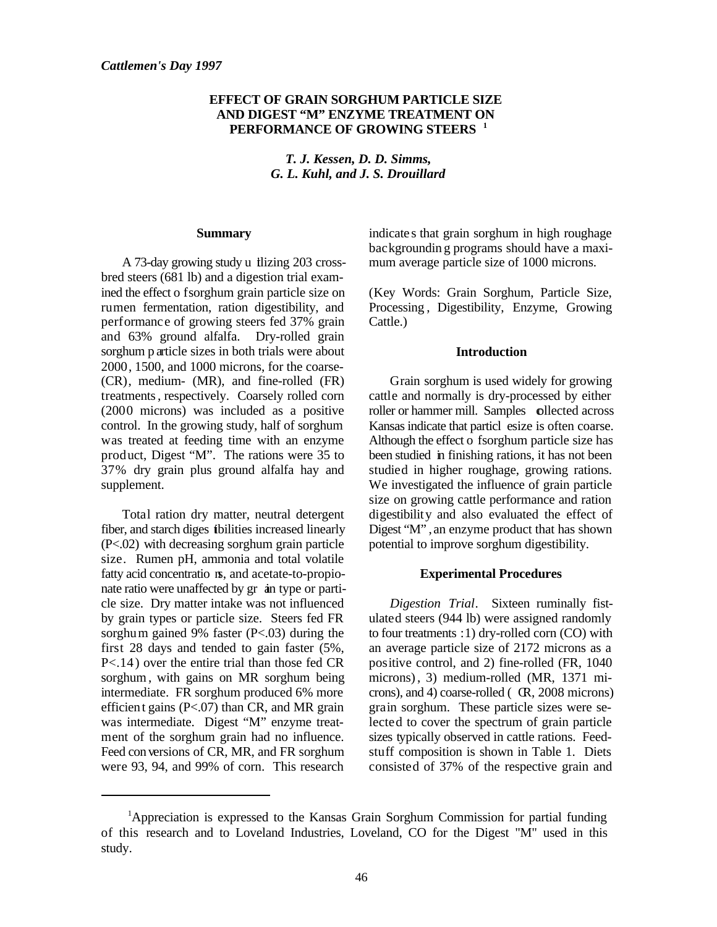#### **EFFECT OF GRAIN SORGHUM PARTICLE SIZE AND DIGEST "M" ENZYME TREATMENT ON PERFORMANCE OF GROWING STEERS <sup>1</sup>**

*T. J. Kessen, D. D. Simms, G. L. Kuhl, and J. S. Drouillard*

#### **Summary**

A 73-day growing study u tilizing 203 crossbred steers (681 lb) and a digestion trial examined the effect o f sorghum grain particle size on rumen fermentation, ration digestibility, and performance of growing steers fed 37% grain and 63% ground alfalfa. Dry-rolled grain sorghum p article sizes in both trials were about 2000, 1500, and 1000 microns, for the coarse- (CR), medium- (MR), and fine-rolled (FR) treatments , respectively. Coarsely rolled corn (2000 microns) was included as a positive control. In the growing study, half of sorghum was treated at feeding time with an enzyme product, Digest "M". The rations were 35 to 37% dry grain plus ground alfalfa hay and supplement.

Total ration dry matter, neutral detergent fiber, and starch diges tibilities increased linearly (P<.02) with decreasing sorghum grain particle size. Rumen pH, ammonia and total volatile fatty acid concentratio  $n_s$ , and acetate-to-propionate ratio were unaffected by gr ain type or particle size. Dry matter intake was not influenced by grain types or particle size. Steers fed FR sorghum gained 9% faster (P<.03) during the first 28 days and tended to gain faster (5%, P<.14) over the entire trial than those fed CR sorghum , with gains on MR sorghum being intermediate. FR sorghum produced 6% more efficient gains (P<.07) than CR, and MR grain was intermediate. Digest "M" enzyme treatment of the sorghum grain had no influence. Feed con versions of CR, MR, and FR sorghum were 93, 94, and 99% of corn. This research

indicate s that grain sorghum in high roughage backgroundin g programs should have a maximum average particle size of 1000 microns.

(Key Words: Grain Sorghum, Particle Size, Processing , Digestibility, Enzyme, Growing Cattle.)

#### **Introduction**

Grain sorghum is used widely for growing cattle and normally is dry-processed by either roller or hammer mill. Samples collected across Kansas indicate that particlesize is often coarse. Although the effect o fsorghum particle size has been studied in finishing rations, it has not been studied in higher roughage, growing rations. We investigated the influence of grain particle size on growing cattle performance and ration digestibility and also evaluated the effect of Digest "M" , an enzyme product that has shown potential to improve sorghum digestibility.

#### **Experimental Procedures**

*Digestion Trial*. Sixteen ruminally fistulated steers (944 lb) were assigned randomly to four treatments : 1) dry-rolled corn (CO) with an average particle size of 2172 microns as a positive control, and 2) fine-rolled (FR, 1040 microns), 3) medium-rolled (MR, 1371 microns), and 4) coarse-rolled ( CR, 2008 microns) grain sorghum. These particle sizes were selected to cover the spectrum of grain particle sizes typically observed in cattle rations. Feedstuff composition is shown in Table 1. Diets consisted of 37% of the respective grain and

<sup>&</sup>lt;sup>1</sup>Appreciation is expressed to the Kansas Grain Sorghum Commission for partial funding of this research and to Loveland Industries, Loveland, CO for the Digest "M" used in this study.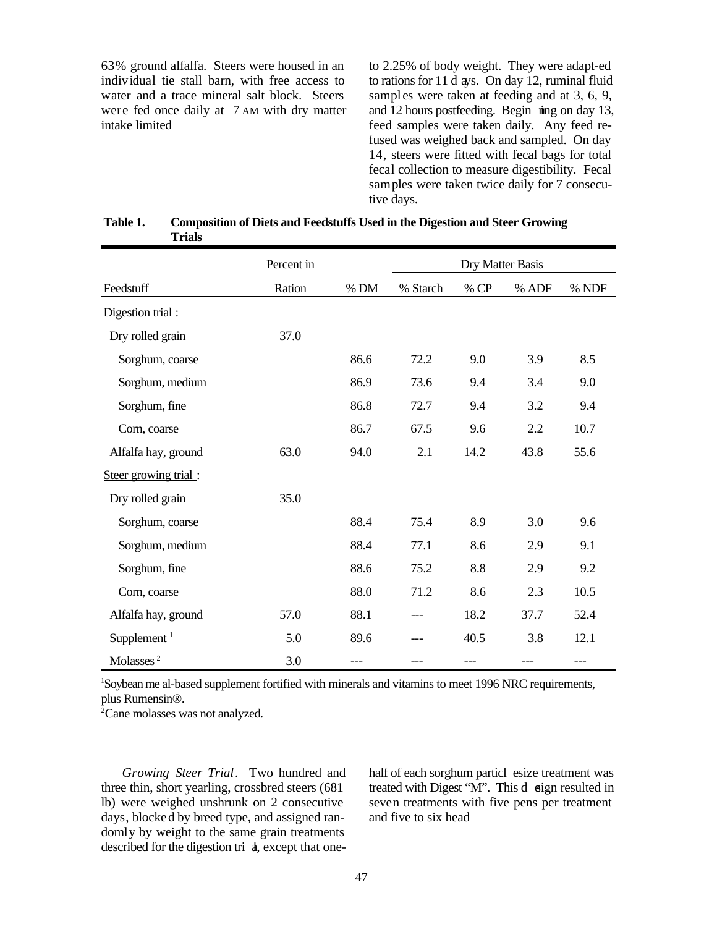63% ground alfalfa. Steers were housed in an individual tie stall barn, with free access to water and a trace mineral salt block. Steers were fed once daily at 7 AM with dry matter intake limited

to 2.25% of body weight. They were adapt-ed to rations for 11 d ays. On day 12, ruminal fluid samples were taken at feeding and at 3, 6, 9, and  $\overline{12}$  hours postfeeding. Begin  $\overline{m}$  and  $\overline{13}$ , feed samples were taken daily. Any feed refused was weighed back and sampled. On day 14, steers were fitted with fecal bags for total fecal collection to measure digestibility. Fecal samples were taken twice daily for 7 consecutive days.

| Table 1. | <b>Composition of Diets and Feedstuffs Used in the Digestion and Steer Growing</b> |
|----------|------------------------------------------------------------------------------------|
|          | Trials                                                                             |

|                       | Percent in |        |          | Dry Matter Basis |       |       |
|-----------------------|------------|--------|----------|------------------|-------|-------|
| Feedstuff             | Ration     | $%$ DM | % Starch | % CP             | % ADF | % NDF |
| Digestion trial:      |            |        |          |                  |       |       |
| Dry rolled grain      | 37.0       |        |          |                  |       |       |
| Sorghum, coarse       |            | 86.6   | 72.2     | 9.0              | 3.9   | 8.5   |
| Sorghum, medium       |            | 86.9   | 73.6     | 9.4              | 3.4   | 9.0   |
| Sorghum, fine         |            | 86.8   | 72.7     | 9.4              | 3.2   | 9.4   |
| Corn, coarse          |            | 86.7   | 67.5     | 9.6              | 2.2   | 10.7  |
| Alfalfa hay, ground   | 63.0       | 94.0   | 2.1      | 14.2             | 43.8  | 55.6  |
| Steer growing trial:  |            |        |          |                  |       |       |
| Dry rolled grain      | 35.0       |        |          |                  |       |       |
| Sorghum, coarse       |            | 88.4   | 75.4     | 8.9              | 3.0   | 9.6   |
| Sorghum, medium       |            | 88.4   | 77.1     | 8.6              | 2.9   | 9.1   |
| Sorghum, fine         |            | 88.6   | 75.2     | 8.8              | 2.9   | 9.2   |
| Corn, coarse          |            | 88.0   | 71.2     | 8.6              | 2.3   | 10.5  |
| Alfalfa hay, ground   | 57.0       | 88.1   | ---      | 18.2             | 37.7  | 52.4  |
| Supplement $1$        | 5.0        | 89.6   | ---      | 40.5             | 3.8   | 12.1  |
| Molasses <sup>2</sup> | 3.0        | ---    | ---      | ---              | ---   | $---$ |

<sup>1</sup>Soybean me al-based supplement fortified with minerals and vitamins to meet 1996 NRC requirements, plus Rumensin®.

 $2^{\circ}$ Cane molasses was not analyzed.

*Growing Steer Trial*. Two hundred and three thin, short yearling, crossbred steers (681 lb) were weighed unshrunk on 2 consecutive days, blocked by breed type, and assigned randomly by weight to the same grain treatments described for the digestion tri  $\dot{a}$ , except that onehalf of each sorghum particl esize treatment was treated with Digest "M". This d sign resulted in seven treatments with five pens per treatment and five to six head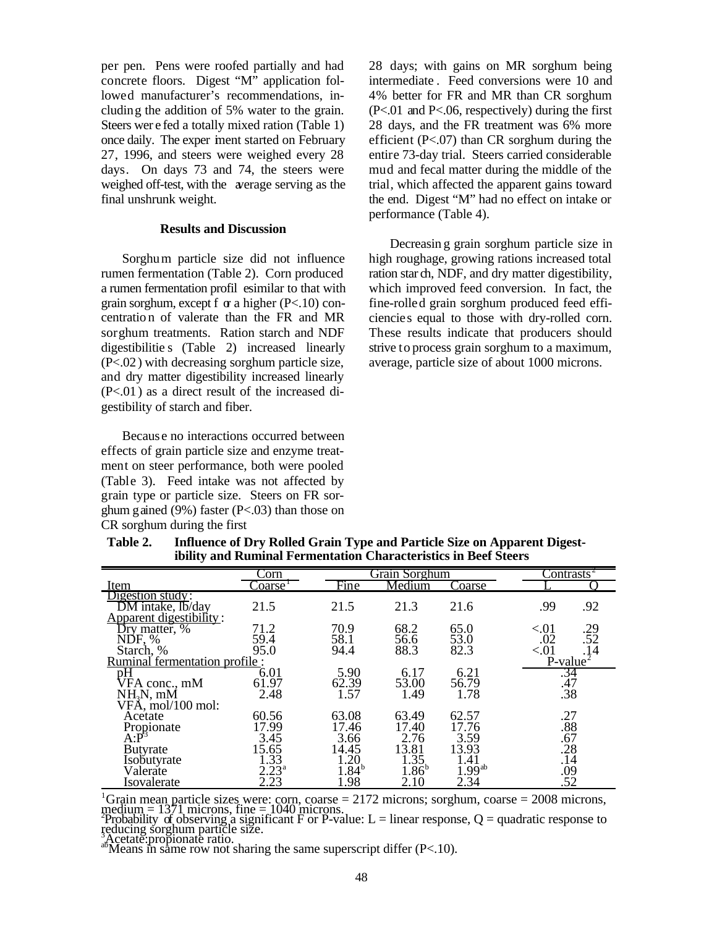per pen. Pens were roofed partially and had concrete floors. Digest "M" application followed manufacturer's recommendations, including the addition of 5% water to the grain. Steers wer e fed a totally mixed ration (Table 1) once daily. The exper iment started on February 27, 1996, and steers were weighed every 28 days. On days 73 and 74, the steers were weighed off-test, with the average serving as the final unshrunk weight.

#### **Results and Discussion**

Sorghum particle size did not influence rumen fermentation (Table 2). Corn produced a rumen fermentation profil esimilar to that with grain sorghum, except f  $\alpha$  a higher (P<.10) concentratio n of valerate than the FR and MR sorghum treatments. Ration starch and NDF digestibilitie s (Table 2) increased linearly (P<.02) with decreasing sorghum particle size, and dry matter digestibility increased linearly (P<.01) as a direct result of the increased digestibility of starch and fiber.

Because no interactions occurred between effects of grain particle size and enzyme treatment on steer performance, both were pooled (Table 3). Feed intake was not affected by grain type or particle size. Steers on FR sorghum gained (9%) faster (P<.03) than those on CR sorghum during the first

28 days; with gains on MR sorghum being intermediate . Feed conversions were 10 and 4% better for FR and MR than CR sorghum (P<.01 and P<.06, respectively) during the first 28 days, and the FR treatment was 6% more efficient (P<.07) than CR sorghum during the entire 73-day trial. Steers carried considerable mud and fecal matter during the middle of the trial, which affected the apparent gains toward the end. Digest "M" had no effect on intake or performance (Table 4).

Decreasin g grain sorghum particle size in high roughage, growing rations increased total ration star ch, NDF, and dry matter digestibility, which improved feed conversion. In fact, the fine-rolled grain sorghum produced feed efficiencies equal to those with dry-rolled corn. These results indicate that producers should strive to process grain sorghum to a maximum, average, particle size of about 1000 microns.

|                                                                 | Corn                  |                               | Grain Sorghum                          | Contrasts             |                                          |
|-----------------------------------------------------------------|-----------------------|-------------------------------|----------------------------------------|-----------------------|------------------------------------------|
| Item                                                            | $\sqrt{\text{oarse}}$ | Fine                          | Medium                                 | Coarse                |                                          |
| Digestion study:<br>DM intake, lb/day                           | 21.5                  | 21.5                          | 21.3                                   | 21.6                  | .92<br>.99                               |
| Apparent digestibility:<br>Dry matter, %<br>NDF, %<br>Starch, % | 71.2<br>59.4<br>95.0  | 70.9<br>58.1<br>94.4          | 68.2<br>56.6<br>88.3                   | 65.0<br>53.0<br>82.3  | < 01<br>.29<br>.52<br>.02<br>.14<br>< 01 |
| Ruminal fermentation profile:                                   |                       |                               |                                        |                       | $P-value2$                               |
| pH<br>VFA conc., mM<br>$NH3N$ , mM                              | 6.01<br>61.97<br>2.48 | 5.90<br>62.39<br>1.57         | 6.17<br>53.00<br>1.49                  | 6.21<br>56.79<br>1.78 | .34<br>.47<br>$\overline{.}38$           |
| VFÅ, mol/100 mol:<br>Acetate                                    | 60.56                 | 63.08                         | 63.49                                  | 62.57                 | .27                                      |
| Propionate<br>A:P                                               | 17.99<br>3.45         | 17.46<br>3.66                 | 17.40<br>2.76                          | 17.76<br>3.59         | .88<br>.67                               |
| <b>Butyrate</b><br>Isobutyrate                                  | 15.65<br>1.33         | 14.45<br>1.20                 | 13.81<br>$1.35$<br>$1.86$ <sup>b</sup> | 13.93<br>1.41         | $\tilde{28}$<br>.14                      |
| Valerate<br>Isovalerate                                         | $2.23^{a}$<br>2.23    | $1.\overline{84}^{b}$<br>1.98 | 2.10                                   | $1.99^{ab}$<br>2.34   | $\frac{09}{09}$                          |

**Table 2. Influence of Dry Rolled Grain Type and Particle Size on Apparent Digestibility and Ruminal Fermentation Characteristics in Beef Steers**

<sup>1</sup>Grain mean particle sizes were: corn, coarse = 2172 microns; sorghum, coarse = 2008 microns,  $\text{median} = 1371$  microns, fine = 1040 microns.<br>
Probability of observing a significant F or P-value: L = linear response, Q = quadratic response to

reducing sorghum particle size.<br>Acetate: propionate ratio.

 $\alpha^{\text{S}}$ Means in same row not sharing the same superscript differ (P<.10).